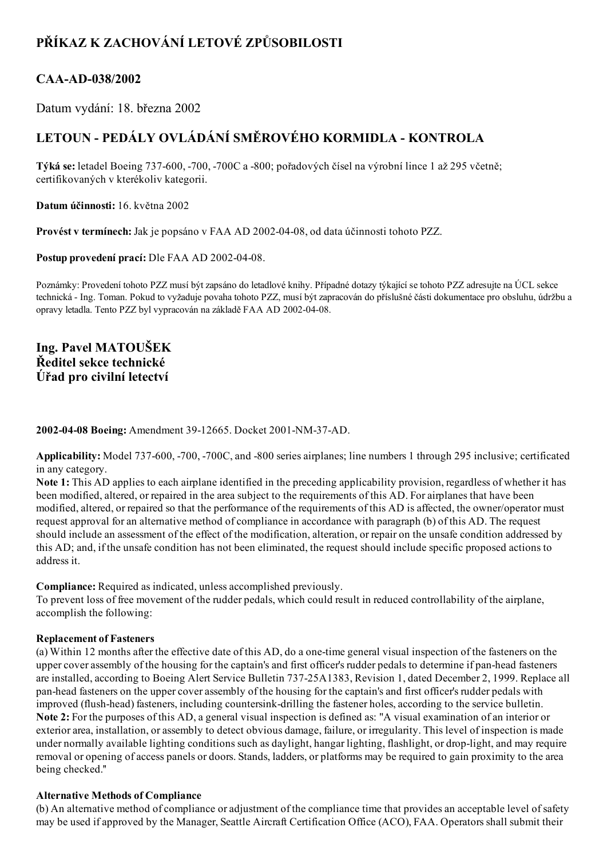# PŘÍKAZ K ZACHOVÁNÍ LETOVÉ ZPŮSOBILOSTI

### CAA-AD-038/2002

Datum vydání: 18. března 2002

## LETOUN - PEDÁLY OVLÁDÁNÍ SMĚROVÉHO KORMIDLA - KONTROLA

Týká se: letadel Boeing 737600, 700, 700C a 800; pořadových čísel na výrobní lince 1 až 295 včetně; certifikovaných v kterékoliv kategorii.

Datum účinnosti: 16. května 2002

Provést v termínech: Jak je popsáno v FAA AD 2002-04-08, od data účinnosti tohoto PZZ.

Postup provedení prací: Dle FAA AD 2002-04-08.

Poznámky: Provedení tohoto PZZ musí být zapsáno do letadlové knihy. Případné dotazy týkající se tohoto PZZ adresujte na ÚCL sekce technická Ing. Toman. Pokud to vyžaduje povaha tohoto PZZ, musí být zapracován do příslušné části dokumentace pro obsluhu, údržbu a opravy letadla. Tento PZZ byl vypracován na základě FAA AD 2002-04-08.

### Ing. Pavel MATOUŠEK Ředitel sekce technické Úřad pro civilní letectví

2002-04-08 Boeing: Amendment 39-12665. Docket 2001-NM-37-AD.

Applicability: Model 737-600, -700, -700C, and -800 series airplanes; line numbers 1 through 295 inclusive; certificated in any category.

Note 1: This AD applies to each airplane identified in the preceding applicability provision, regardless of whether it has been modified, altered, or repaired in the area subject to the requirements of this AD. For airplanes that have been modified, altered, or repaired so that the performance of the requirements of this AD is affected, the owner/operator must request approval for an alternative method of compliance in accordance with paragraph (b) of this AD. The request should include an assessment of the effect of the modification, alteration, or repair on the unsafe condition addressed by this AD; and, if the unsafe condition has not been eliminated, the request should include specific proposed actions to address it.

Compliance: Required as indicated, unless accomplished previously.

To prevent loss of free movement of the rudder pedals, which could result in reduced controllability of the airplane, accomplish the following:

#### Replacement of Fasteners

(a) Within 12 months after the effective date of this AD, do a onetime general visual inspection of the fasteners on the upper cover assembly of the housing for the captain's and first officer's rudder pedals to determine if pan-head fasteners are installed, according to Boeing Alert Service Bulletin 73725A1383, Revision 1, dated December 2, 1999. Replace all panhead fasteners on the upper cover assembly of the housing for the captain's and first officer's rudder pedals with improved (flush-head) fasteners, including countersink-drilling the fastener holes, according to the service bulletin. Note 2: For the purposes of this AD, a general visual inspection is defined as: "A visual examination of an interior or exterior area, installation, or assembly to detect obvious damage, failure, or irregularity. This level of inspection is made under normally available lighting conditions such as daylight, hangar lighting, flashlight, or drop-light, and may require removal or opening of access panels or doors. Stands, ladders, or platforms may be required to gain proximity to the area being checked.''

#### Alternative Methods of Compliance

(b) An alternative method of compliance or adjustment of the compliance time that provides an acceptable level ofsafety may be used if approved by the Manager, Seattle Aircraft Certification Office (ACO), FAA. Operators shall submit their